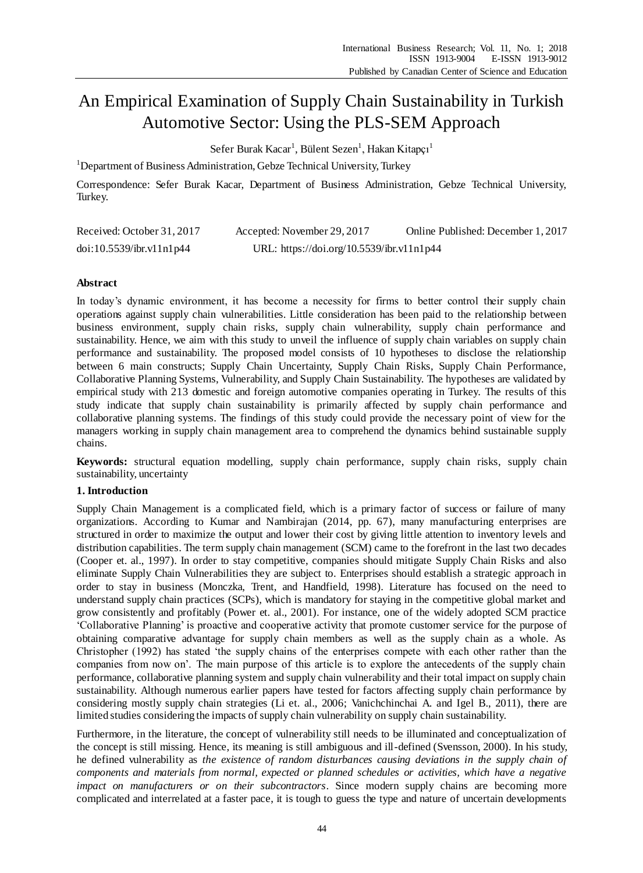# An Empirical Examination of Supply Chain Sustainability in Turkish Automotive Sector: Using the PLS-SEM Approach

 $S$ efer Burak Kacar<sup>1</sup>, Bülent Sezen<sup>1</sup>, Hakan Kitapçı<sup>1</sup>

<sup>1</sup>Department of Business Administration, Gebze Technical University, Turkey

Correspondence: Sefer Burak Kacar, Department of Business Administration, Gebze Technical University, Turkey.

| Received: October 31, 2017 | Accepted: November 29, 2017               | Online Published: December 1, 2017 |
|----------------------------|-------------------------------------------|------------------------------------|
| doi:10.5539/ibr.v11nlp44   | URL: https://doi.org/10.5539/ibr.v11n1p44 |                                    |

# **Abstract**

In today's dynamic environment, it has become a necessity for firms to better control their supply chain operations against supply chain vulnerabilities. Little consideration has been paid to the relationship between business environment, supply chain risks, supply chain vulnerability, supply chain performance and sustainability. Hence, we aim with this study to unveil the influence of supply chain variables on supply chain performance and sustainability. The proposed model consists of 10 hypotheses to disclose the relationship between 6 main constructs; Supply Chain Uncertainty, Supply Chain Risks, Supply Chain Performance, Collaborative Planning Systems, Vulnerability, and Supply Chain Sustainability. The hypotheses are validated by empirical study with 213 domestic and foreign automotive companies operating in Turkey. The results of this study indicate that supply chain sustainability is primarily affected by supply chain performance and collaborative planning systems. The findings of this study could provide the necessary point of view for the managers working in supply chain management area to comprehend the dynamics behind sustainable supply chains.

**Keywords:** structural equation modelling, supply chain performance, supply chain risks, supply chain sustainability, uncertainty

# **1. Introduction**

Supply Chain Management is a complicated field, which is a primary factor of success or failure of many organizations. According to Kumar and Nambirajan (2014, pp. 67), many manufacturing enterprises are structured in order to maximize the output and lower their cost by giving little attention to inventory levels and distribution capabilities. The term supply chain management (SCM) came to the forefront in the last two decades (Cooper et. al., 1997). In order to stay competitive, companies should mitigate Supply Chain Risks and also eliminate Supply Chain Vulnerabilities they are subject to. Enterprises should establish a strategic approach in order to stay in business (Monczka, Trent, and Handfield, 1998). Literature has focused on the need to understand supply chain practices (SCPs), which is mandatory for staying in the competitive global market and grow consistently and profitably (Power et. al., 2001). For instance, one of the widely adopted SCM practice 'Collaborative Planning' is proactive and cooperative activity that promote customer service for the purpose of obtaining comparative advantage for supply chain members as well as the supply chain as a whole. As Christopher (1992) has stated 'the supply chains of the enterprises compete with each other rather than the companies from now on'. The main purpose of this article is to explore the antecedents of the supply chain performance, collaborative planning system and supply chain vulnerability and their total impact on supply chain sustainability. Although numerous earlier papers have tested for factors affecting supply chain performance by considering mostly supply chain strategies (Li et. al., 2006; Vanichchinchai A. and Igel B., 2011), there are limited studies considering the impacts of supply chain vulnerability on supply chain sustainability.

Furthermore, in the literature, the concept of vulnerability still needs to be illuminated and conceptualization of the concept is still missing. Hence, its meaning is still ambiguous and ill-defined (Svensson, 2000). In his study, he defined vulnerability as *the existence of random disturbances causing deviations in the supply chain of components and materials from normal, expected or planned schedules or activities, which have a negative impact on manufacturers or on their subcontractors*. Since modern supply chains are becoming more complicated and interrelated at a faster pace, it is tough to guess the type and nature of uncertain developments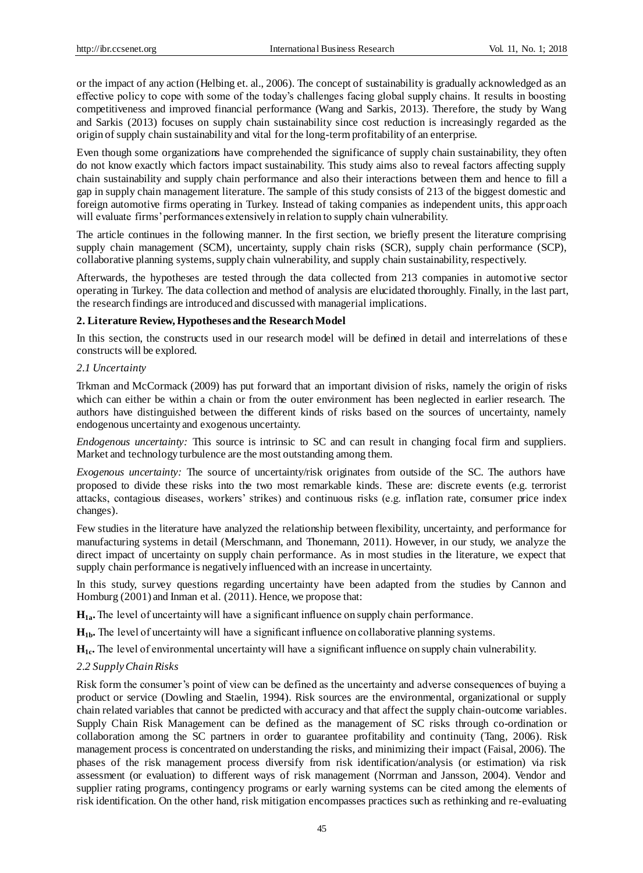or the impact of any action (Helbing et. al., 2006). The concept of sustainability is gradually acknowledged as an effective policy to cope with some of the today's challenges facing global supply chains. It results in boosting competitiveness and improved financial performance (Wang and Sarkis, 2013). Therefore, the study by Wang and Sarkis (2013) focuses on supply chain sustainability since cost reduction is increasingly regarded as the origin of supply chain sustainability and vital for the long-term profitability of an enterprise.

Even though some organizations have comprehended the significance of supply chain sustainability, they often do not know exactly which factors impact sustainability. This study aims also to reveal factors affecting supply chain sustainability and supply chain performance and also their interactions between them and hence to fill a gap in supply chain management literature. The sample of this study consists of 213 of the biggest domestic and foreign automotive firms operating in Turkey. Instead of taking companies as independent units, this approach will evaluate firms' performances extensively in relation to supply chain vulnerability.

The article continues in the following manner. In the first section, we briefly present the literature comprising supply chain management (SCM), uncertainty, supply chain risks (SCR), supply chain performance (SCP), collaborative planning systems, supply chain vulnerability, and supply chain sustainability, respectively.

Afterwards, the hypotheses are tested through the data collected from 213 companies in automotive sector operating in Turkey. The data collection and method of analysis are elucidated thoroughly. Finally, in the last part, the research findings are introduced and discussed with managerial implications.

## **2. Literature Review, Hypotheses and the Research Model**

In this section, the constructs used in our research model will be defined in detail and interrelations of these constructs will be explored.

## *2.1 Uncertainty*

Trkman and McCormack (2009) has put forward that an important division of risks, namely the origin of risks which can either be within a chain or from the outer environment has been neglected in earlier research. The authors have distinguished between the different kinds of risks based on the sources of uncertainty, namely endogenous uncertainty and exogenous uncertainty.

*Endogenous uncertainty:* This source is intrinsic to SC and can result in changing focal firm and suppliers. Market and technology turbulence are the most outstanding among them.

*Exogenous uncertainty:* The source of uncertainty/risk originates from outside of the SC. The authors have proposed to divide these risks into the two most remarkable kinds. These are: discrete events (e.g. terrorist attacks, contagious diseases, workers' strikes) and continuous risks (e.g. inflation rate, consumer price index changes).

Few studies in the literature have analyzed the relationship between flexibility, uncertainty, and performance for manufacturing systems in detail (Merschmann, and Thonemann, 2011). However, in our study, we analyze the direct impact of uncertainty on supply chain performance. As in most studies in the literature, we expect that supply chain performance is negatively influenced with an increase in uncertainty.

In this study, survey questions regarding uncertainty have been adapted from the studies by Cannon and Homburg (2001) and Inman et al. (2011). Hence, we propose that:

**H1a.** The level of uncertainty will have a significant influence on supply chain performance.

**H1b.** The level of uncertainty will have a significant influence on collaborative planning systems.

**H1c.** The level of environmental uncertainty will have a significant influence on supply chain vulnerability.

# *2.2 Supply Chain Risks*

Risk form the consumer's point of view can be defined as the uncertainty and adverse consequences of buying a product or service (Dowling and Staelin, 1994). Risk sources are the environmental, organizational or supply chain related variables that cannot be predicted with accuracy and that affect the supply chain-outcome variables. Supply Chain Risk Management can be defined as the management of SC risks through co-ordination or collaboration among the SC partners in order to guarantee profitability and continuity (Tang, 2006). Risk management process is concentrated on understanding the risks, and minimizing their impact (Faisal, 2006). The phases of the risk management process diversify from risk identification/analysis (or estimation) via risk assessment (or evaluation) to different ways of risk management (Norrman and Jansson, 2004). Vendor and supplier rating programs, contingency programs or early warning systems can be cited among the elements of risk identification. On the other hand, risk mitigation encompasses practices such as rethinking and re-evaluating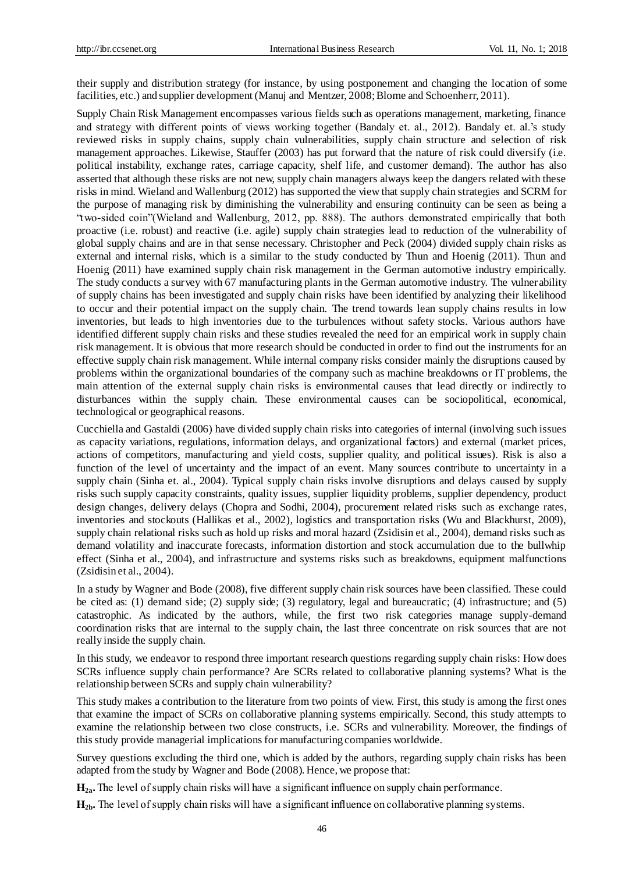their supply and distribution strategy (for instance, by using postponement and changing the location of some facilities, etc.) and supplier development (Manuj and Mentzer, 2008; Blome and Schoenherr, 2011).

Supply Chain Risk Management encompasses various fields such as operations management, marketing, finance and strategy with different points of views working together (Bandaly et. al., 2012). Bandaly et. al.'s study reviewed risks in supply chains, supply chain vulnerabilities, supply chain structure and selection of risk management approaches. Likewise, Stauffer (2003) has put forward that the nature of risk could diversify (i.e. political instability, exchange rates, carriage capacity, shelf life, and customer demand). The author has also asserted that although these risks are not new, supply chain managers always keep the dangers related with these risks in mind. Wieland and Wallenburg (2012) has supported the view that supply chain strategies and SCRM for the purpose of managing risk by diminishing the vulnerability and ensuring continuity can be seen as being a "two-sided coin"(Wieland and Wallenburg, 2012, pp. 888). The authors demonstrated empirically that both proactive (i.e. robust) and reactive (i.e. agile) supply chain strategies lead to reduction of the vulnerability of global supply chains and are in that sense necessary. Christopher and Peck (2004) divided supply chain risks as external and internal risks, which is a similar to the study conducted by Thun and Hoenig (2011). Thun and Hoenig (2011) have examined supply chain risk management in the German automotive industry empirically. The study conducts a survey with 67 manufacturing plants in the German automotive industry. The vulnerability of supply chains has been investigated and supply chain risks have been identified by analyzing their likelihood to occur and their potential impact on the supply chain. The trend towards lean supply chains results in low inventories, but leads to high inventories due to the turbulences without safety stocks. Various authors have identified different supply chain risks and these studies revealed the need for an empirical work in supply chain risk management. It is obvious that more research should be conducted in order to find out the instruments for an effective supply chain risk management. While internal company risks consider mainly the disruptions caused by problems within the organizational boundaries of the company such as machine breakdowns or IT problems, the main attention of the external supply chain risks is environmental causes that lead directly or indirectly to disturbances within the supply chain. These environmental causes can be sociopolitical, economical, technological or geographical reasons.

Cucchiella and Gastaldi (2006) have divided supply chain risks into categories of internal (involving such issues as capacity variations, regulations, information delays, and organizational factors) and external (market prices, actions of competitors, manufacturing and yield costs, supplier quality, and political issues). Risk is also a function of the level of uncertainty and the impact of an event. Many sources contribute to uncertainty in a supply chain (Sinha et. al., 2004). Typical supply chain risks involve disruptions and delays caused by supply risks such supply capacity constraints, quality issues, supplier liquidity problems, supplier dependency, product design changes, delivery delays (Chopra and Sodhi, 2004), procurement related risks such as exchange rates, inventories and stockouts (Hallikas et al., 2002), logistics and transportation risks (Wu and Blackhurst, 2009), supply chain relational risks such as hold up risks and moral hazard (Zsidisin et al., 2004), demand risks such as demand volatility and inaccurate forecasts, information distortion and stock accumulation due to the bullwhip effect (Sinha et al., 2004), and infrastructure and systems risks such as breakdowns, equipment malfunctions (Zsidisin et al., 2004).

In a study by Wagner and Bode (2008), five different supply chain risk sources have been classified. These could be cited as: (1) demand side; (2) supply side; (3) regulatory, legal and bureaucratic; (4) infrastructure; and (5) catastrophic. As indicated by the authors, while, the first two risk categories manage supply-demand coordination risks that are internal to the supply chain, the last three concentrate on risk sources that are not really inside the supply chain.

In this study, we endeavor to respond three important research questions regarding supply chain risks: How does SCRs influence supply chain performance? Are SCRs related to collaborative planning systems? What is the relationship between SCRs and supply chain vulnerability?

This study makes a contribution to the literature from two points of view. First, this study is among the first ones that examine the impact of SCRs on collaborative planning systems empirically. Second, this study attempts to examine the relationship between two close constructs, i.e. SCRs and vulnerability. Moreover, the findings of this study provide managerial implications for manufacturing companies worldwide.

Survey questions excluding the third one, which is added by the authors, regarding supply chain risks has been adapted from the study by Wagner and Bode (2008). Hence, we propose that:

**H2a.** The level of supply chain risks will have a significant influence on supply chain performance.

**H**<sub>2b</sub>**.** The level of supply chain risks will have a significant influence on collaborative planning systems.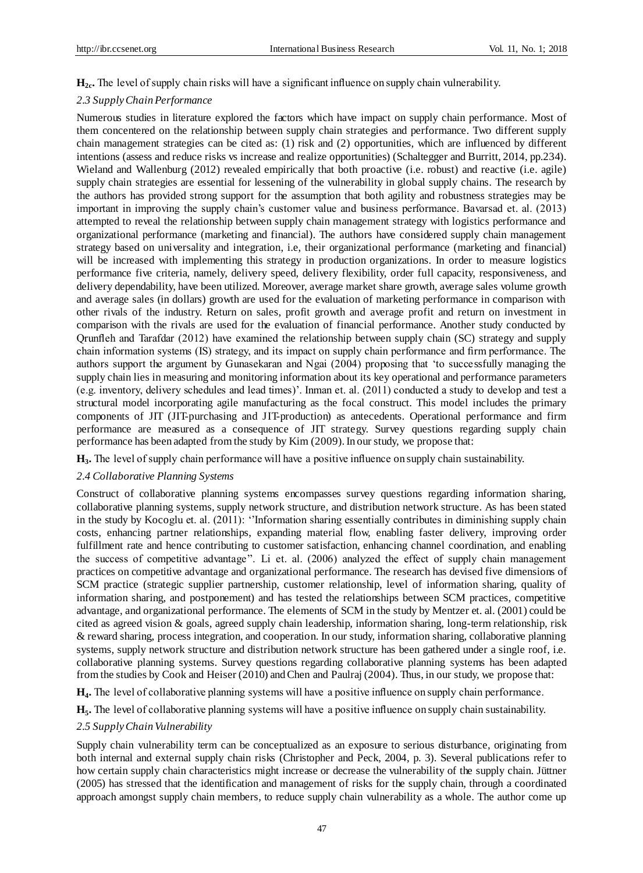**H2c.** The level of supply chain risks will have a significant influence on supply chain vulnerability.

## *2.3 Supply Chain Performance*

Numerous studies in literature explored the factors which have impact on supply chain performance. Most of them concentered on the relationship between supply chain strategies and performance. Two different supply chain management strategies can be cited as: (1) risk and (2) opportunities, which are influenced by different intentions (assess and reduce risks vs increase and realize opportunities) (Schaltegger and Burritt, 2014, pp.234). Wieland and Wallenburg (2012) revealed empirically that both proactive (i.e. robust) and reactive (i.e. agile) supply chain strategies are essential for lessening of the vulnerability in global supply chains. The research by the authors has provided strong support for the assumption that both agility and robustness strategies may be important in improving the supply chain's customer value and business performance. Bavarsad et. al. (2013) attempted to reveal the relationship between supply chain management strategy with logistics performance and organizational performance (marketing and financial). The authors have considered supply chain management strategy based on universality and integration, i.e, their organizational performance (marketing and financial) will be increased with implementing this strategy in production organizations. In order to measure logistics performance five criteria, namely, delivery speed, delivery flexibility, order full capacity, responsiveness, and delivery dependability, have been utilized. Moreover, average market share growth, average sales volume growth and average sales (in dollars) growth are used for the evaluation of marketing performance in comparison with other rivals of the industry. Return on sales, profit growth and average profit and return on investment in comparison with the rivals are used for the evaluation of financial performance. Another study conducted by Qrunfleh and Tarafdar (2012) have examined the relationship between supply chain (SC) strategy and supply chain information systems (IS) strategy, and its impact on supply chain performance and firm performance. The authors support the argument by Gunasekaran and Ngai (2004) proposing that 'to successfully managing the supply chain lies in measuring and monitoring information about its key operational and performance parameters (e.g. inventory, delivery schedules and lead times)'. Inman et. al. (2011) conducted a study to develop and test a structural model incorporating agile manufacturing as the focal construct. This model includes the primary components of JIT (JIT-purchasing and JIT-production) as antecedents. Operational performance and firm performance are measured as a consequence of JIT strategy. Survey questions regarding supply chain performance has been adapted from the study by Kim (2009). In our study, we propose that:

**H3 .** The level of supply chain performance will have a positive influence on supply chain sustainability.

## *2.4 Collaborative Planning Systems*

Construct of collaborative planning systems encompasses survey questions regarding information sharing, collaborative planning systems, supply network structure, and distribution network structure. As has been stated in the study by Kocoglu et. al. (2011): ''Information sharing essentially contributes in diminishing supply chain costs, enhancing partner relationships, expanding material flow, enabling faster delivery, improving order fulfillment rate and hence contributing to customer satisfaction, enhancing channel coordination, and enabling the success of competitive advantage''. Li et. al. (2006) analyzed the effect of supply chain management practices on competitive advantage and organizational performance. The research has devised five dimensions of SCM practice (strategic supplier partnership, customer relationship, level of information sharing, quality of information sharing, and postponement) and has tested the relationships between SCM practices, competitive advantage, and organizational performance. The elements of SCM in the study by Mentzer et. al. (2001) could be cited as agreed vision & goals, agreed supply chain leadership, information sharing, long-term relationship, risk & reward sharing, process integration, and cooperation. In our study, information sharing, collaborative planning systems, supply network structure and distribution network structure has been gathered under a single roof, i.e. collaborative planning systems. Survey questions regarding collaborative planning systems has been adapted from the studies by Cook and Heiser (2010) and Chen and Paulraj (2004). Thus, in our study, we propose that:

**H4 .** The level of collaborative planning systems will have a positive influence on supply chain performance.

**H5 .** The level of collaborative planning systems will have a positive influence on supply chain sustainability.

## *2.5 Supply Chain Vulnerability*

Supply chain vulnerability term can be conceptualized as an exposure to serious disturbance, originating from both internal and external supply chain risks (Christopher and Peck, 2004, p. 3). Several publications refer to how certain supply chain characteristics might increase or decrease the vulnerability of the supply chain. Jüttner (2005) has stressed that the identification and management of risks for the supply chain, through a coordinated approach amongst supply chain members, to reduce supply chain vulnerability as a whole. The author come up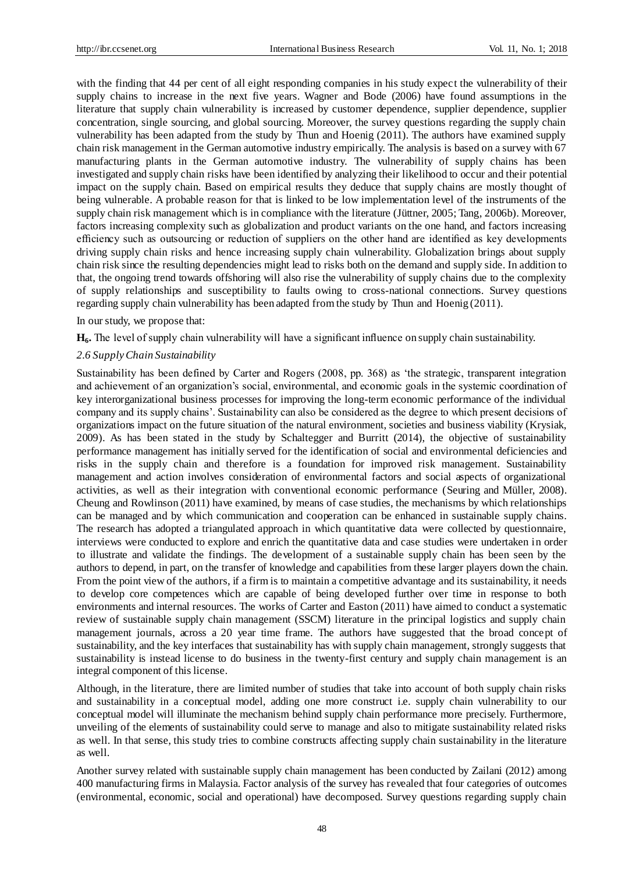with the finding that 44 per cent of all eight responding companies in his study expect the vulnerability of their supply chains to increase in the next five years. Wagner and Bode (2006) have found assumptions in the literature that supply chain vulnerability is increased by customer dependence, supplier dependence, supplier concentration, single sourcing, and global sourcing. Moreover, the survey questions regarding the supply chain vulnerability has been adapted from the study by Thun and Hoenig (2011). The authors have examined supply chain risk management in the German automotive industry empirically. The analysis is based on a survey with 67 manufacturing plants in the German automotive industry. The vulnerability of supply chains has been investigated and supply chain risks have been identified by analyzing their likelihood to occur and their potential impact on the supply chain. Based on empirical results they deduce that supply chains are mostly thought of being vulnerable. A probable reason for that is linked to be low implementation level of the instruments of the supply chain risk management which is in compliance with the literature (Jüttner, 2005; Tang, 2006b). Moreover, factors increasing complexity such as globalization and product variants on the one hand, and factors increasing efficiency such as outsourcing or reduction of suppliers on the other hand are identified as key developments driving supply chain risks and hence increasing supply chain vulnerability. Globalization brings about supply chain risk since the resulting dependencies might lead to risks both on the demand and supply side. In addition to that, the ongoing trend towards offshoring will also rise the vulnerability of supply chains due to the complexity of supply relationships and susceptibility to faults owing to cross-national connections. Survey questions regarding supply chain vulnerability has been adapted from the study by Thun and Hoenig (2011).

In our study, we propose that:

**H6 .** The level of supply chain vulnerability will have a significant influence on supply chain sustainability.

## *2.6 Supply Chain Sustainability*

Sustainability has been defined by Carter and Rogers (2008, pp. 368) as 'the strategic, transparent integration and achievement of an organization's social, environmental, and economic goals in the systemic coordination of key interorganizational business processes for improving the long-term economic performance of the individual company and its supply chains'. Sustainability can also be considered as the degree to which present decisions of organizations impact on the future situation of the natural environment, societies and business viability (Krysiak, 2009). As has been stated in the study by Schaltegger and Burritt (2014), the objective of sustainability performance management has initially served for the identification of social and environmental deficiencies and risks in the supply chain and therefore is a foundation for improved risk management. Sustainability management and action involves consideration of environmental factors and social aspects of organizational activities, as well as their integration with conventional economic performance (Seuring and Müller, 2008). Cheung and Rowlinson (2011) have examined, by means of case studies, the mechanisms by which relationships can be managed and by which communication and cooperation can be enhanced in sustainable supply chains. The research has adopted a triangulated approach in which quantitative data were collected by questionnaire, interviews were conducted to explore and enrich the quantitative data and case studies were undertaken in order to illustrate and validate the findings. The development of a sustainable supply chain has been seen by the authors to depend, in part, on the transfer of knowledge and capabilities from these larger players down the chain. From the point view of the authors, if a firm is to maintain a competitive advantage and its sustainability, it needs to develop core competences which are capable of being developed further over time in response to both environments and internal resources. The works of Carter and Easton (2011) have aimed to conduct a systematic review of sustainable supply chain management (SSCM) literature in the principal logistics and supply chain management journals, across a 20 year time frame. The authors have suggested that the broad concept of sustainability, and the key interfaces that sustainability has with supply chain management, strongly suggests that sustainability is instead license to do business in the twenty-first century and supply chain management is an integral component of this license.

Although, in the literature, there are limited number of studies that take into account of both supply chain risks and sustainability in a conceptual model, adding one more construct i.e. supply chain vulnerability to our conceptual model will illuminate the mechanism behind supply chain performance more precisely. Furthermore, unveiling of the elements of sustainability could serve to manage and also to mitigate sustainability related risks as well. In that sense, this study tries to combine constructs affecting supply chain sustainability in the literature as well.

Another survey related with sustainable supply chain management has been conducted by Zailani (2012) among 400 manufacturing firms in Malaysia. Factor analysis of the survey has revealed that four categories of outcomes (environmental, economic, social and operational) have decomposed. Survey questions regarding supply chain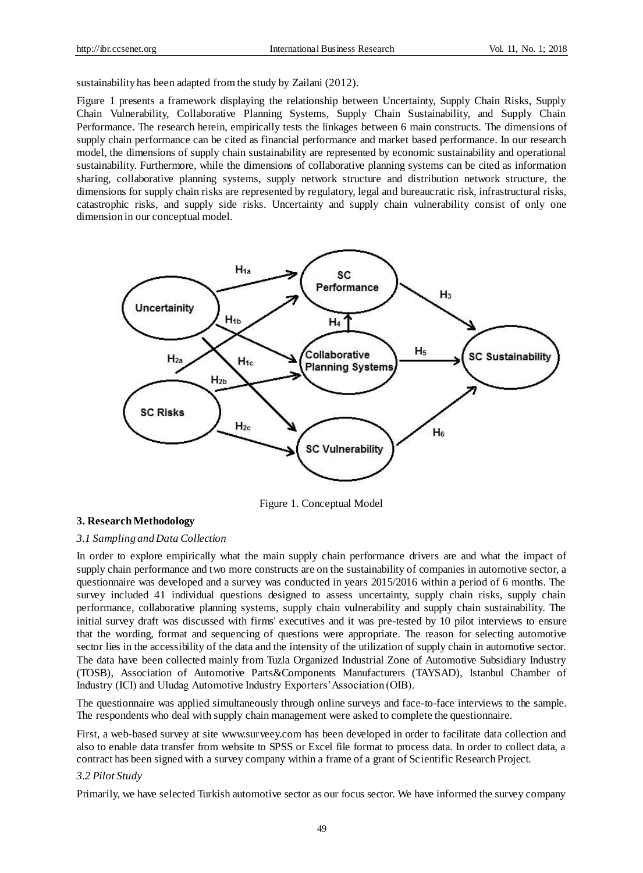sustainability has been adapted from the study by Zailani (2012).

Figure 1 presents a framework displaying the relationship between Uncertainty, Supply Chain Risks, Supply Chain Vulnerability, Collaborative Planning Systems, Supply Chain Sustainability, and Supply Chain Performance. The research herein, empirically tests the linkages between 6 main constructs. The dimensions of supply chain performance can be cited as financial performance and market based performance. In our research model, the dimensions of supply chain sustainability are represented by economic sustainability and operational sustainability. Furthermore, while the dimensions of collaborative planning systems can be cited as information sharing, collaborative planning systems, supply network structure and distribution network structure, the dimensions for supply chain risks are represented by regulatory, legal and bureaucratic risk, infrastructural risks, catastrophic risks, and supply side risks. Uncertainty and supply chain vulnerability consist of only one dimension in our conceptual model.



Figure 1. Conceptual Model

# **3. Research Methodology**

## *3.1 Sampling and Data Collection*

In order to explore empirically what the main supply chain performance drivers are and what the impact of supply chain performance and two more constructs are on the sustainability of companies in automotive sector, a questionnaire was developed and a survey was conducted in years 2015/2016 within a period of 6 months. The survey included 41 individual questions designed to assess uncertainty, supply chain risks, supply chain performance, collaborative planning systems, supply chain vulnerability and supply chain sustainability. The initial survey draft was discussed with firms' executives and it was pre-tested by 10 pilot interviews to ensure that the wording, format and sequencing of questions were appropriate. The reason for selecting automotive sector lies in the accessibility of the data and the intensity of the utilization of supply chain in automotive sector. The data have been collected mainly from Tuzla Organized Industrial Zone of Automotive Subsidiary Industry (TOSB), Association of Automotive Parts&Components Manufacturers (TAYSAD), Istanbul Chamber of Industry (ICI) and Uludag Automotive Industry Exporters' Association (OIB).

The questionnaire was applied simultaneously through online surveys and face-to-face interviews to the sample. The respondents who deal with supply chain management were asked to complete the questionnaire.

First, a web-based survey at site www.surveey.com has been developed in order to facilitate data collection and also to enable data transfer from website to SPSS or Excel file format to process data. In order to collect data, a contract has been signed with a survey company within a frame of a grant of Scientific Research Project.

#### *3.2 Pilot Study*

Primarily, we have selected Turkish automotive sector as our focus sector. We have informed the survey company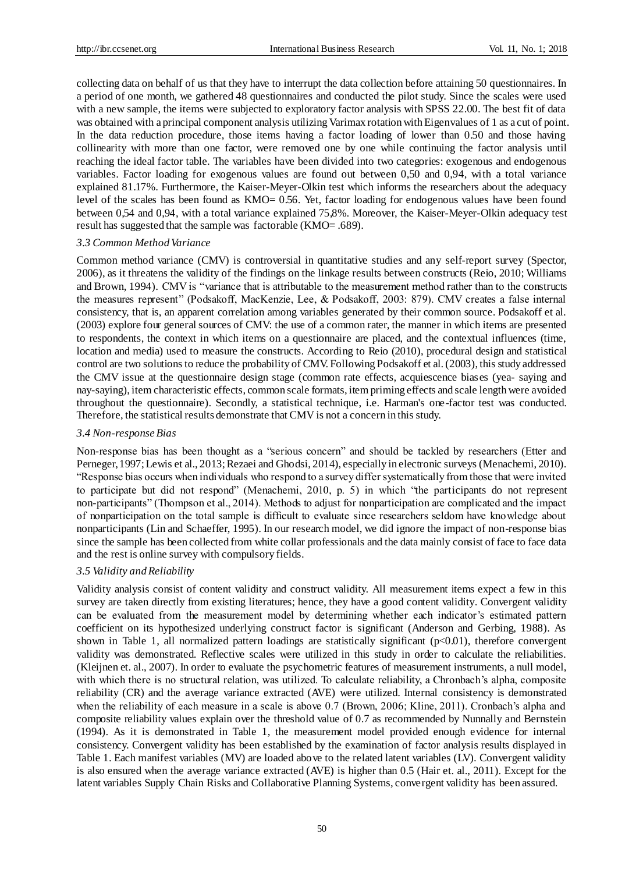collecting data on behalf of us that they have to interrupt the data collection before attaining 50 questionnaires. In a period of one month, we gathered 48 questionnaires and conducted the pilot study. Since the scales were used with a new sample, the items were subjected to exploratory factor analysis with SPSS 22.00. The best fit of data was obtained with a principal component analysis utilizing Varimax rotation with Eigenvalues of 1 as a cut of point. In the data reduction procedure, those items having a factor loading of lower than 0.50 and those having collinearity with more than one factor, were removed one by one while continuing the factor analysis until reaching the ideal factor table. The variables have been divided into two categories: exogenous and endogenous variables. Factor loading for exogenous values are found out between 0,50 and 0,94, with a total variance explained 81.17%. Furthermore, the Kaiser-Meyer-Olkin test which informs the researchers about the adequacy level of the scales has been found as KMO= 0.56. Yet, factor loading for endogenous values have been found between 0,54 and 0,94, with a total variance explained 75,8%. Moreover, the Kaiser-Meyer-Olkin adequacy test result has suggested that the sample was factorable (KMO= .689).

## *3.3 Common Method Variance*

Common method variance (CMV) is controversial in quantitative studies and any self-report survey (Spector, 2006), as it threatens the validity of the findings on the linkage results between constructs (Reio, 2010; Williams and Brown, 1994). CMV is ''variance that is attributable to the measurement method rather than to the constructs the measures represent'' (Podsakoff, MacKenzie, Lee, & Podsakoff, 2003: 879). CMV creates a false internal consistency, that is, an apparent correlation among variables generated by their common source. Podsakoff et al. (2003) explore four general sources of CMV: the use of a common rater, the manner in which items are presented to respondents, the context in which items on a questionnaire are placed, and the contextual influences (time, location and media) used to measure the constructs. According to Reio (2010), procedural design and statistical control are two solutions to reduce the probability of CMV. Following Podsakoff et al. (2003), this study addressed the CMV issue at the questionnaire design stage (common rate effects, acquiescence biases (yea- saying and nay-saying), item characteristic effects, common scale formats, item priming effects and scale length were avoided throughout the questionnaire). Secondly, a statistical technique, i.e. Harman's one-factor test was conducted. Therefore, the statistical results demonstrate that CMV is not a concern in this study.

## *3.4 Non-response Bias*

Non-response bias has been thought as a "serious concern" and should be tackled by researchers (Etter and Perneger, 1997; Lewis et al., 2013; Rezaei and Ghodsi, 2014), especially in electronic surveys (Menachemi, 2010). "Response bias occurs when individuals who respond to a survey differ systematically from those that were invited to participate but did not respond" (Menachemi, 2010, p. 5) in which "the participants do not represent non-participants" (Thompson et al., 2014). Methods to adjust for nonparticipation are complicated and the impact of nonparticipation on the total sample is difficult to evaluate since researchers seldom have knowledge about nonparticipants (Lin and Schaeffer, 1995). In our research model, we did ignore the impact of non-response bias since the sample has been collected from white collar professionals and the data mainly consist of face to face data and the rest is online survey with compulsory fields.

## *3.5 Validity and Reliability*

Validity analysis consist of content validity and construct validity. All measurement items expect a few in this survey are taken directly from existing literatures; hence, they have a good content validity. Convergent validity can be evaluated from the measurement model by determining whether each indicator's estimated pattern coefficient on its hypothesized underlying construct factor is significant (Anderson and Gerbing, 1988). As shown in Table 1, all normalized pattern loadings are statistically significant (p<0.01), therefore convergent validity was demonstrated. Reflective scales were utilized in this study in order to calculate the reliabilities. (Kleijnen et. al., 2007). In order to evaluate the psychometric features of measurement instruments, a null model, with which there is no structural relation, was utilized. To calculate reliability, a Chronbach's alpha, composite reliability (CR) and the average variance extracted (AVE) were utilized. Internal consistency is demonstrated when the reliability of each measure in a scale is above 0.7 (Brown, 2006; Kline, 2011). Cronbach's alpha and composite reliability values explain over the threshold value of 0.7 as recommended by Nunnally and Bernstein (1994). As it is demonstrated in Table 1, the measurement model provided enough evidence for internal consistency. Convergent validity has been established by the examination of factor analysis results displayed in Table 1. Each manifest variables (MV) are loaded above to the related latent variables (LV). Convergent validity is also ensured when the average variance extracted (AVE) is higher than 0.5 (Hair et. al., 2011). Except for the latent variables Supply Chain Risks and Collaborative Planning Systems, convergent validity has been assured.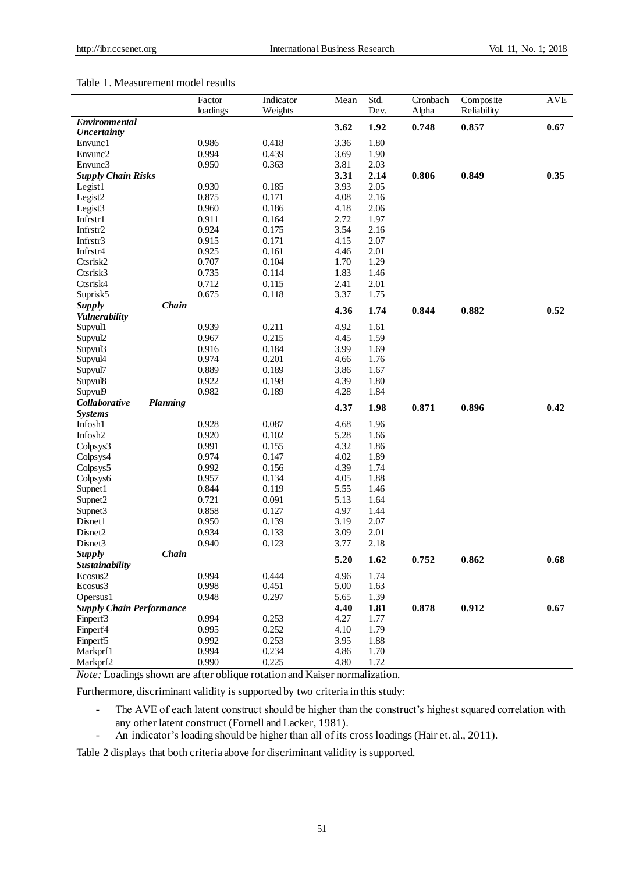# Table 1. Measurement model results

| loadings<br>Weights<br>Dev.<br>Reliability<br>Alpha<br>Environmental<br>1.92<br>0.748<br>0.857<br>0.67<br>3.62<br>Uncertainty<br>0.986<br>0.418<br>3.36<br>1.80<br>Envunc1<br>0.994<br>Envunc <sub>2</sub><br>0.439<br>3.69<br>1.90<br>0.950<br>0.363<br>3.81<br>2.03<br>Envunc3<br>3.31<br>2.14<br>0.806<br>0.849<br><b>Supply Chain Risks</b><br>0.35<br>Legist1<br>0.930<br>0.185<br>3.93<br>2.05<br>0.875<br>0.171<br>4.08<br>2.16<br>Legist2<br>0.960<br>0.186<br>4.18<br>2.06<br>Legist3 |
|------------------------------------------------------------------------------------------------------------------------------------------------------------------------------------------------------------------------------------------------------------------------------------------------------------------------------------------------------------------------------------------------------------------------------------------------------------------------------------------------|
|                                                                                                                                                                                                                                                                                                                                                                                                                                                                                                |
|                                                                                                                                                                                                                                                                                                                                                                                                                                                                                                |
|                                                                                                                                                                                                                                                                                                                                                                                                                                                                                                |
|                                                                                                                                                                                                                                                                                                                                                                                                                                                                                                |
|                                                                                                                                                                                                                                                                                                                                                                                                                                                                                                |
|                                                                                                                                                                                                                                                                                                                                                                                                                                                                                                |
|                                                                                                                                                                                                                                                                                                                                                                                                                                                                                                |
|                                                                                                                                                                                                                                                                                                                                                                                                                                                                                                |
|                                                                                                                                                                                                                                                                                                                                                                                                                                                                                                |
|                                                                                                                                                                                                                                                                                                                                                                                                                                                                                                |
| 1.97<br>Infrstr1<br>0.911<br>2.72<br>0.164                                                                                                                                                                                                                                                                                                                                                                                                                                                     |
| Infrstr2<br>0.924<br>0.175<br>3.54<br>2.16                                                                                                                                                                                                                                                                                                                                                                                                                                                     |
| 0.915<br>0.171<br>2.07<br>Infrstr3<br>4.15                                                                                                                                                                                                                                                                                                                                                                                                                                                     |
| Infrstr4<br>0.925<br>0.161<br>2.01<br>4.46                                                                                                                                                                                                                                                                                                                                                                                                                                                     |
| 0.707<br>0.104<br>1.70<br>1.29<br>Ctsrisk2                                                                                                                                                                                                                                                                                                                                                                                                                                                     |
| 0.735<br>Ctsrisk3<br>0.114<br>1.46<br>1.83                                                                                                                                                                                                                                                                                                                                                                                                                                                     |
| 2.01<br>Ctsrisk4<br>0.712<br>0.115<br>2.41                                                                                                                                                                                                                                                                                                                                                                                                                                                     |
| 0.675<br>0.118<br>3.37<br>1.75<br>Suprisk5                                                                                                                                                                                                                                                                                                                                                                                                                                                     |
| Chain<br>Supply<br>1.74<br>0.844<br>4.36<br>0.882<br>0.52                                                                                                                                                                                                                                                                                                                                                                                                                                      |
| <b>Vulnerability</b>                                                                                                                                                                                                                                                                                                                                                                                                                                                                           |
| 0.939<br>0.211<br>4.92<br>1.61<br>Supvul1                                                                                                                                                                                                                                                                                                                                                                                                                                                      |
| 0.967<br>0.215<br>1.59<br>Supvul2<br>4.45                                                                                                                                                                                                                                                                                                                                                                                                                                                      |
| Supvul3<br>0.916<br>0.184<br>3.99<br>1.69                                                                                                                                                                                                                                                                                                                                                                                                                                                      |
| 0.974<br>0.201<br>1.76<br>Supvul4<br>4.66                                                                                                                                                                                                                                                                                                                                                                                                                                                      |
| 0.889<br>0.189<br>3.86<br>1.67<br>Supvul7                                                                                                                                                                                                                                                                                                                                                                                                                                                      |
| Supvul8<br>0.922<br>0.198<br>4.39<br>1.80                                                                                                                                                                                                                                                                                                                                                                                                                                                      |
| 0.982<br>0.189<br>4.28<br>1.84<br>Supvul9                                                                                                                                                                                                                                                                                                                                                                                                                                                      |
| Collaborative<br>Planning<br>1.98<br>0.871<br>0.896<br>4.37<br>0.42                                                                                                                                                                                                                                                                                                                                                                                                                            |
| <b>Systems</b>                                                                                                                                                                                                                                                                                                                                                                                                                                                                                 |
| 0.928<br>0.087<br>1.96<br>Infosh1<br>4.68                                                                                                                                                                                                                                                                                                                                                                                                                                                      |
| 0.920<br>Infosh2<br>0.102<br>5.28<br>1.66                                                                                                                                                                                                                                                                                                                                                                                                                                                      |
| Colpsys3<br>0.991<br>4.32<br>0.155<br>1.86<br>0.974                                                                                                                                                                                                                                                                                                                                                                                                                                            |
| 0.147<br>4.02<br>1.89<br>Colpsys4<br>0.992<br>4.39<br>1.74                                                                                                                                                                                                                                                                                                                                                                                                                                     |
| 0.156<br>Colpsys5<br>0.957<br>1.88<br>0.134<br>4.05                                                                                                                                                                                                                                                                                                                                                                                                                                            |
| Colpsys6<br>0.844<br>0.119<br>5.55<br>1.46<br>Supnet1                                                                                                                                                                                                                                                                                                                                                                                                                                          |
| 0.721<br>0.091<br>5.13<br>1.64<br>Supnet2                                                                                                                                                                                                                                                                                                                                                                                                                                                      |
| 0.858<br>0.127<br>4.97<br>1.44<br>Supnet3                                                                                                                                                                                                                                                                                                                                                                                                                                                      |
| 0.950<br>0.139<br>3.19<br>2.07<br>Disnet1                                                                                                                                                                                                                                                                                                                                                                                                                                                      |
| 0.934<br>Disnet2<br>0.133<br>3.09<br>2.01                                                                                                                                                                                                                                                                                                                                                                                                                                                      |
| Disnet3<br>0.940<br>0.123<br>2.18<br>3.77                                                                                                                                                                                                                                                                                                                                                                                                                                                      |
| Chain<br><b>Supply</b>                                                                                                                                                                                                                                                                                                                                                                                                                                                                         |
| 1.62<br>0.752<br>0.862<br>0.68<br>5.20<br>Sustainability                                                                                                                                                                                                                                                                                                                                                                                                                                       |
| 0.994<br>0.444<br>4.96<br>1.74<br>Ecosus2                                                                                                                                                                                                                                                                                                                                                                                                                                                      |
| 0.998<br>Ecosus3<br>0.451<br>5.00<br>1.63                                                                                                                                                                                                                                                                                                                                                                                                                                                      |
| 0.948<br>0.297<br>Opersus1<br>5.65<br>1.39                                                                                                                                                                                                                                                                                                                                                                                                                                                     |
| 0.878<br>0.912<br>4.40<br>0.67<br><b>Supply Chain Performance</b><br>1.81                                                                                                                                                                                                                                                                                                                                                                                                                      |
| Finperf3<br>0.994<br>0.253<br>4.27<br>1.77                                                                                                                                                                                                                                                                                                                                                                                                                                                     |
| Finperf4<br>0.995<br>0.252<br>4.10<br>1.79                                                                                                                                                                                                                                                                                                                                                                                                                                                     |
| 0.253<br>Finperf5<br>0.992<br>3.95<br>1.88                                                                                                                                                                                                                                                                                                                                                                                                                                                     |
| 0.994<br>0.234<br>Markprf1<br>4.86<br>1.70                                                                                                                                                                                                                                                                                                                                                                                                                                                     |
| 0.225<br>Markprf2<br>0.990<br>4.80<br>1.72                                                                                                                                                                                                                                                                                                                                                                                                                                                     |

*Note:* Loadings shown are after oblique rotation and Kaiser normalization.

Furthermore, discriminant validity is supported by two criteria in this study:

- The AVE of each latent construct should be higher than the construct's highest squared correlation with any other latent construct (Fornell and Lacker, 1981).
- An indicator's loading should be higher than all of its cross loadings (Hair et. al., 2011).

Table 2 displays that both criteria above for discriminant validity is supported.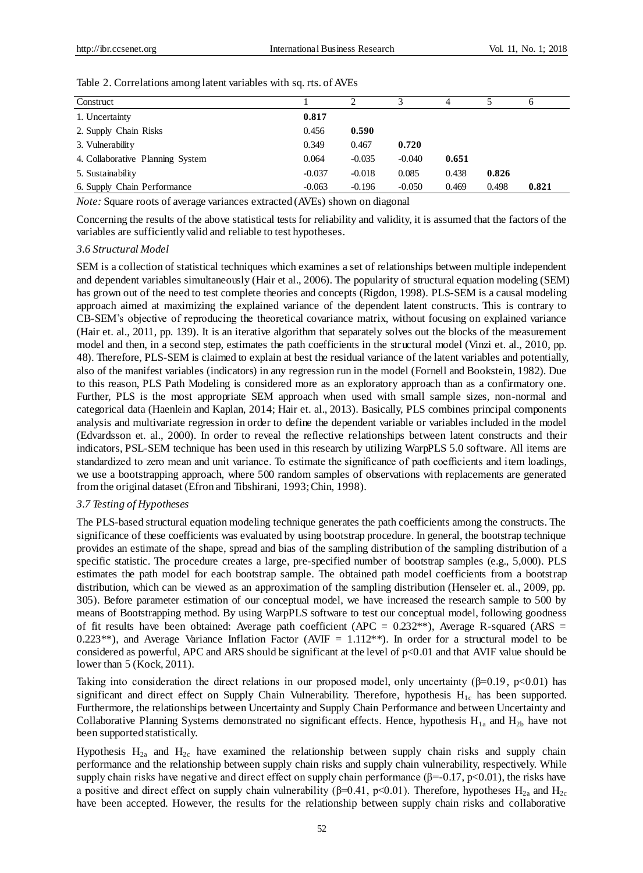| Construct                        |          | ↑        |          | 4     |       |       |
|----------------------------------|----------|----------|----------|-------|-------|-------|
| 1. Uncertainty                   | 0.817    |          |          |       |       |       |
| 2. Supply Chain Risks            | 0.456    | 0.590    |          |       |       |       |
| 3. Vulnerability                 | 0.349    | 0.467    | 0.720    |       |       |       |
| 4. Collaborative Planning System | 0.064    | $-0.035$ | $-0.040$ | 0.651 |       |       |
| 5. Sustainability                | $-0.037$ | $-0.018$ | 0.085    | 0.438 | 0.826 |       |
| 6. Supply Chain Performance      | $-0.063$ | $-0.196$ | $-0.050$ | 0.469 | 0.498 | 0.821 |

Table 2. Correlations among latent variables with sq. rts. of AVEs

*Note:* Square roots of average variances extracted (AVEs) shown on diagonal

Concerning the results of the above statistical tests for reliability and validity, it is assumed that the factors of the variables are sufficiently valid and reliable to test hypotheses.

## *3.6 Structural Model*

SEM is a collection of statistical techniques which examines a set of relationships between multiple independent and dependent variables simultaneously (Hair et al., 2006). The popularity of structural equation modeling (SEM) has grown out of the need to test complete theories and concepts (Rigdon, 1998). PLS-SEM is a causal modeling approach aimed at maximizing the explained variance of the dependent latent constructs. This is contrary to CB-SEM's objective of reproducing the theoretical covariance matrix, without focusing on explained variance (Hair et. al., 2011, pp. 139). It is an iterative algorithm that separately solves out the blocks of the measurement model and then, in a second step, estimates the path coefficients in the structural model (Vinzi et. al., 2010, pp. 48). Therefore, PLS-SEM is claimed to explain at best the residual variance of the latent variables and potentially, also of the manifest variables (indicators) in any regression run in the model (Fornell and Bookstein, 1982). Due to this reason, PLS Path Modeling is considered more as an exploratory approach than as a confirmatory one. Further, PLS is the most appropriate SEM approach when used with small sample sizes, non-normal and categorical data (Haenlein and Kaplan, 2014; Hair et. al., 2013). Basically, PLS combines principal components analysis and multivariate regression in order to define the dependent variable or variables included in the model (Edvardsson et. al., 2000). In order to reveal the reflective relationships between latent constructs and their indicators, PSL-SEM technique has been used in this research by utilizing WarpPLS 5.0 software. All items are standardized to zero mean and unit variance. To estimate the significance of path coefficients and item loadings, we use a bootstrapping approach, where 500 random samples of observations with replacements are generated from the original dataset (Efron and Tibshirani, 1993; Chin, 1998).

## *3.7 Testing of Hypotheses*

The PLS-based structural equation modeling technique generates the path coefficients among the constructs. The significance of these coefficients was evaluated by using bootstrap procedure. In general, the bootstrap technique provides an estimate of the shape, spread and bias of the sampling distribution of the sampling distribution of a specific statistic. The procedure creates a large, pre-specified number of bootstrap samples (e.g., 5,000). PLS estimates the path model for each bootstrap sample. The obtained path model coefficients from a bootstrap distribution, which can be viewed as an approximation of the sampling distribution (Henseler et. al., 2009, pp. 305). Before parameter estimation of our conceptual model, we have increased the research sample to 500 by means of Bootstrapping method. By using WarpPLS software to test our conceptual model, following goodness of fit results have been obtained: Average path coefficient (APC =  $0.232**$ ), Average R-squared (ARS =  $0.223**$ ), and Average Variance Inflation Factor (AVIF =  $1.112**$ ). In order for a structural model to be considered as powerful, APC and ARS should be significant at the level of  $p<0.01$  and that AVIF value should be lower than 5 (Kock, 2011).

Taking into consideration the direct relations in our proposed model, only uncertainty ( $\beta$ =0.19,  $\beta$ <0.01) has significant and direct effect on Supply Chain Vulnerability. Therefore, hypothesis  $H_{1c}$  has been supported. Furthermore, the relationships between Uncertainty and Supply Chain Performance and between Uncertainty and Collaborative Planning Systems demonstrated no significant effects. Hence, hypothesis  $H_{1a}$  and  $H_{2b}$  have not been supported statistically.

Hypothesis  $H_{2a}$  and  $H_{2c}$  have examined the relationship between supply chain risks and supply chain performance and the relationship between supply chain risks and supply chain vulnerability, respectively. While supply chain risks have negative and direct effect on supply chain performance  $(\beta = -0.17, \text{p} < 0.01)$ , the risks have a positive and direct effect on supply chain vulnerability (β=0.41, p<0.01). Therefore, hypotheses H<sub>2a</sub> and H<sub>2c</sub> have been accepted. However, the results for the relationship between supply chain risks and collaborative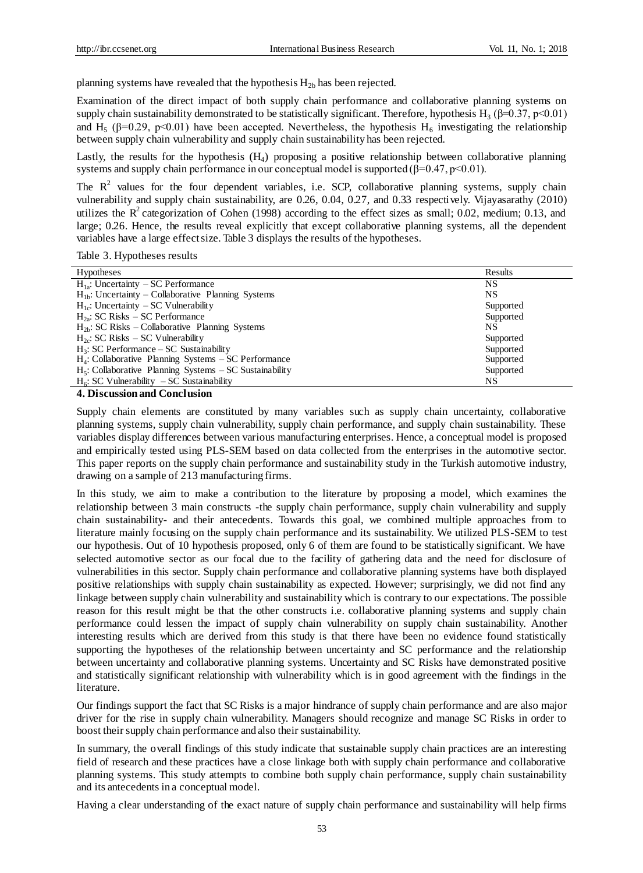planning systems have revealed that the hypothesis  $H_{2b}$  has been rejected.

Examination of the direct impact of both supply chain performance and collaborative planning systems on supply chain sustainability demonstrated to be statistically significant. Therefore, hypothesis  $H_3$  ( $\beta$ =0.37,  $p$ <0.01) and H<sub>5</sub> ( $\beta$ =0.29, p<0.01) have been accepted. Nevertheless, the hypothesis H<sub>6</sub> investigating the relationship between supply chain vulnerability and supply chain sustainability has been rejected.

Lastly, the results for the hypothesis (H<sub>4</sub>) proposing a positive relationship between collaborative planning systems and supply chain performance in our conceptual model is supported  $(\beta=0.47, p<0.01)$ .

The  $R^2$  values for the four dependent variables, i.e. SCP, collaborative planning systems, supply chain vulnerability and supply chain sustainability, are 0.26, 0.04, 0.27, and 0.33 respectively. Vijayasarathy (2010) utilizes the  $R^2$  categorization of Cohen (1998) according to the effect sizes as small; 0.02, medium; 0.13, and large; 0.26. Hence, the results reveal explicitly that except collaborative planning systems, all the dependent variables have a large effect size. Table 3 displays the results of the hypotheses.

Table 3. Hypotheses results

| <b>Hypotheses</b>                                          | Results   |
|------------------------------------------------------------|-----------|
| $H_{1a}$ : Uncertainty – SC Performance                    | NS        |
| $H_{1b}$ : Uncertainty – Collaborative Planning Systems    | NS        |
| $H_{1c}$ : Uncertainty – SC Vulnerability                  | Supported |
| $H_{2a}$ : SC Risks – SC Performance                       | Supported |
| $H_{2h}$ : SC Risks – Collaborative Planning Systems       | NS        |
| $H_{2c}$ : SC Risks – SC Vulnerability                     | Supported |
| $H_3$ : SC Performance – SC Sustainability                 | Supported |
| $H_4$ : Collaborative Planning Systems – SC Performance    | Supported |
| $H_5$ : Collaborative Planning Systems – SC Sustainability | Supported |
| $H_6$ : SC Vulnerability – SC Sustainability               | NS.       |

**4. Discussion and Conclusion**

Supply chain elements are constituted by many variables such as supply chain uncertainty, collaborative planning systems, supply chain vulnerability, supply chain performance, and supply chain sustainability. These variables display differences between various manufacturing enterprises. Hence, a conceptual model is proposed and empirically tested using PLS-SEM based on data collected from the enterprises in the automotive sector. This paper reports on the supply chain performance and sustainability study in the Turkish automotive industry, drawing on a sample of 213 manufacturing firms.

In this study, we aim to make a contribution to the literature by proposing a model, which examines the relationship between 3 main constructs -the supply chain performance, supply chain vulnerability and supply chain sustainability- and their antecedents. Towards this goal, we combined multiple approaches from to literature mainly focusing on the supply chain performance and its sustainability. We utilized PLS-SEM to test our hypothesis. Out of 10 hypothesis proposed, only 6 of them are found to be statistically significant. We have selected automotive sector as our focal due to the facility of gathering data and the need for disclosure of vulnerabilities in this sector. Supply chain performance and collaborative planning systems have both displayed positive relationships with supply chain sustainability as expected. However; surprisingly, we did not find any linkage between supply chain vulnerability and sustainability which is contrary to our expectations. The possible reason for this result might be that the other constructs i.e. collaborative planning systems and supply chain performance could lessen the impact of supply chain vulnerability on supply chain sustainability. Another interesting results which are derived from this study is that there have been no evidence found statistically supporting the hypotheses of the relationship between uncertainty and SC performance and the relationship between uncertainty and collaborative planning systems. Uncertainty and SC Risks have demonstrated positive and statistically significant relationship with vulnerability which is in good agreement with the findings in the literature.

Our findings support the fact that SC Risks is a major hindrance of supply chain performance and are also major driver for the rise in supply chain vulnerability. Managers should recognize and manage SC Risks in order to boost their supply chain performance and also their sustainability.

In summary, the overall findings of this study indicate that sustainable supply chain practices are an interesting field of research and these practices have a close linkage both with supply chain performance and collaborative planning systems. This study attempts to combine both supply chain performance, supply chain sustainability and its antecedents in a conceptual model.

Having a clear understanding of the exact nature of supply chain performance and sustainability will help firms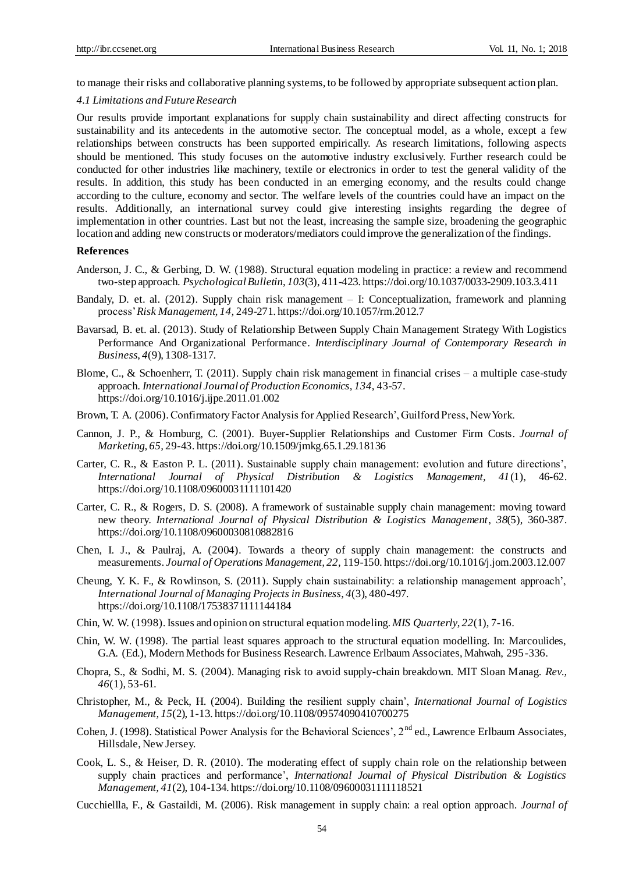to manage their risks and collaborative planning systems, to be followed by appropriate subsequent action plan.

## *4.1 Limitations and Future Research*

Our results provide important explanations for supply chain sustainability and direct affecting constructs for sustainability and its antecedents in the automotive sector. The conceptual model, as a whole, except a few relationships between constructs has been supported empirically. As research limitations, following aspects should be mentioned. This study focuses on the automotive industry exclusively. Further research could be conducted for other industries like machinery, textile or electronics in order to test the general validity of the results. In addition, this study has been conducted in an emerging economy, and the results could change according to the culture, economy and sector. The welfare levels of the countries could have an impact on the results. Additionally, an international survey could give interesting insights regarding the degree of implementation in other countries. Last but not the least, increasing the sample size, broadening the geographic location and adding new constructs or moderators/mediators could improve the generalization of the findings.

# **References**

- Anderson, J. C., & Gerbing, D. W. (1988). Structural equation modeling in practice: a review and recommend two-step approach. *Psychological Bulletin*, *103*(3), 411-423. https://doi.org/10.1037/0033-2909.103.3.411
- Bandaly, D. et. al. (2012). Supply chain risk management I: Conceptualization, framework and planning process' *Risk Management, 14,* 249-271. https://doi.org/10.1057/rm.2012.7
- Bavarsad, B. et. al. (2013). Study of Relationship Between Supply Chain Management Strategy With Logistics Performance And Organizational Performance. *Interdisciplinary Journal of Contemporary Research in Business*, *4*(9), 1308-1317.
- Blome, C., & Schoenherr, T. (2011). Supply chain risk management in financial crises a multiple case-study approach. *International Journal of Production Economics, 134,* 43-57. https://doi.org/10.1016/j.ijpe.2011.01.002
- Brown, T. A. (2006). Confirmatory Factor Analysis for Applied Research', Guilford Press, New York.
- Cannon, J. P., & Homburg, C. (2001). Buyer-Supplier Relationships and Customer Firm Costs. *Journal of Marketing*, *65,* 29-43. https://doi.org/10.1509/jmkg.65.1.29.18136
- Carter, C. R., & Easton P. L. (2011). Sustainable supply chain management: evolution and future directions', *International Journal of Physical Distribution & Logistics Management, 41*(1), 46-62. https://doi.org/10.1108/09600031111101420
- Carter, C. R., & Rogers, D. S. (2008). A framework of sustainable supply chain management: moving toward new theory. *International Journal of Physical Distribution & Logistics Management*, *38*(5), 360-387. https://doi.org/10.1108/09600030810882816
- Chen, I. J., & Paulraj, A. (2004). Towards a theory of supply chain management: the constructs and measurements. *Journal of Operations Management, 22,* 119-150. https://doi.org/10.1016/j.jom.2003.12.007
- Cheung, Y. K. F., & Rowlinson, S. (2011). Supply chain sustainability: a relationship management approach', *International Journal of Managing Projects in Business*, *4*(3), 480-497. https://doi.org/10.1108/17538371111144184
- Chin, W. W. (1998). Issues and opinion on structural equation modeling. *MIS Quarterly*, *22*(1), 7-16.
- Chin, W. W. (1998). The partial least squares approach to the structural equation modelling. In: Marcoulides, G.A. (Ed.), Modern Methods for Business Research. Lawrence Erlbaum Associates, Mahwah, 295-336.
- Chopra, S., & Sodhi, M. S. (2004). Managing risk to avoid supply-chain breakdown. MIT Sloan Manag. *Rev., 46*(1), 53-61.
- Christopher, M., & Peck, H. (2004). Building the resilient supply chain', *International Journal of Logistics Management*, *15*(2), 1-13. https://doi.org/10.1108/09574090410700275
- Cohen, J. (1998). Statistical Power Analysis for the Behavioral Sciences',  $2<sup>nd</sup>$  ed., Lawrence Erlbaum Associates, Hillsdale, New Jersey.
- Cook, L. S., & Heiser, D. R. (2010). The moderating effect of supply chain role on the relationship between supply chain practices and performance', *International Journal of Physical Distribution & Logistics Management, 41*(2), 104-134. https://doi.org/10.1108/09600031111118521
- Cucchiellla, F., & Gastaildi, M. (2006). Risk management in supply chain: a real option approach. *Journal of*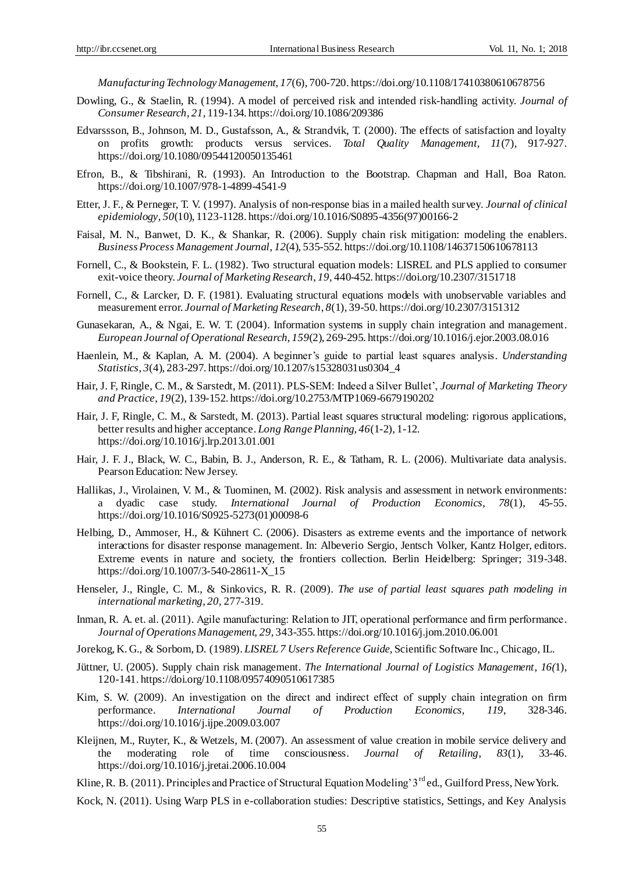*Manufacturing Technology Management*, *17*(6), 700-720. https://doi.org/10.1108/17410380610678756

- Dowling, G., & Staelin, R. (1994). A model of perceived risk and intended risk-handling activity. *Journal of Consumer Research*, *21,* 119-134. https://doi.org/10.1086/209386
- Edvarssson, B., Johnson, M. D., Gustafsson, A., & Strandvik, T. (2000). The effects of satisfaction and loyalty on profits growth: products versus services. *Total Quality Management, 11*(7), 917-927. https://doi.org/10.1080/09544120050135461
- Efron, B., & Tibshirani, R. (1993). An Introduction to the Bootstrap. Chapman and Hall, Boa Raton. https://doi.org/10.1007/978-1-4899-4541-9
- Etter, J. F., & Perneger, T. V. (1997). Analysis of non-response bias in a mailed health survey. *Journal of clinical epidemiology*, *50*(10), 1123-1128. https://doi.org/10.1016/S0895-4356(97)00166-2
- Faisal, M. N., Banwet, D. K., & Shankar, R. (2006). Supply chain risk mitigation: modeling the enablers. *Business Process Management Journal*, *12*(4), 535-552. https://doi.org/10.1108/14637150610678113
- Fornell, C., & Bookstein, F. L. (1982). Two structural equation models: LISREL and PLS applied to consumer exit-voice theory. *Journal of Marketing Research*, *19,* 440-452. https://doi.org/10.2307/3151718
- Fornell, C., & Larcker, D. F. (1981). Evaluating structural equations models with unobservable variables and measurement error. *Journal of Marketing Research*, *8*(1), 39-50. https://doi.org/10.2307/3151312
- Gunasekaran, A., & Ngai, E. W. T. (2004). Information systems in supply chain integration and management. *[European Journal of Operational Research](http://www.sciencedirect.com/science/journal/03772217)*, *159*(2), 269-295. https://doi.org/10.1016/j.ejor.2003.08.016
- Haenlein, M., & Kaplan, A. M. (2004). A beginner's guide to partial least squares analysis. *Understanding Statistics*, *3*(4), 283-297. https://doi.org/10.1207/s15328031us0304\_4
- Hair, J. F, Ringle, C. M., & Sarstedt, M. (2011). PLS-SEM: Indeed a Silver Bullet', *Journal of Marketing Theory and Practice*, *19*(2), 139-152. https://doi.org/10.2753/MTP1069-6679190202
- Hair, J. F, Ringle, C. M., & Sarstedt, M. (2013). Partial least squares structural modeling: rigorous applications, better results and higher acceptance. *Long Range Planning*, *46*(1-2), 1-12. https://doi.org/10.1016/j.lrp.2013.01.001
- Hair, J. F. J., Black, W. C., Babin, B. J., Anderson, R. E., & Tatham, R. L. (2006). Multivariate data analysis. Pearson Education: New Jersey.
- Hallikas, J., Virolainen, V. M., & Tuominen, M. (2002). Risk analysis and assessment in network environments: a dyadic case study. *International Journal of Production Economics*, *78*(1), 45-55. https://doi.org/10.1016/S0925-5273(01)00098-6
- Helbing, D., Ammoser, H., & Kühnert C. (2006). Disasters as extreme events and the importance of network interactions for disaster response management. In: Albeverio Sergio, Jentsch Volker, Kantz Holger, editors. Extreme events in nature and society, the frontiers collection. Berlin Heidelberg: Springer; 319-348. https://doi.org/10.1007/3-540-28611-X\_15
- Henseler, J., Ringle, C. M., & Sinkovics, R. R. (2009). *The use of partial least squares path modeling in international marketing, 20,* 277-319.
- Inman, R. A. et. al. (2011). Agile manufacturing: Relation to JIT, operational performance and firm performance. *Journal of Operations Management, 29,* 343-355. https://doi.org/10.1016/j.jom.2010.06.001
- Jorekog, K. G., & Sorbom, D. (1989). *LISREL 7 Users Reference Guide*, Scientific Software Inc., Chicago, IL.
- Jüttner, U. (2005). Supply chain risk management. *The International Journal of Logistics Management*, *16(*1), 120-141. https://doi.org/10.1108/09574090510617385
- Kim, S. W. (2009). An investigation on the direct and indirect effect of supply chain integration on firm performance. *International Journal of Production Economics, 119*, 328-346. https://doi.org/10.1016/j.ijpe.2009.03.007
- Kleijnen, M., Ruyter, K., & Wetzels, M. (2007). An assessment of value creation in mobile service delivery and the moderating role of time consciousness. *Journal of Retailing*, *83*(1), 33-46. https://doi.org/10.1016/j.jretai.2006.10.004
- Kline, R. B. (2011). Principles and Practice of Structural Equation Modeling' 3<sup>rd</sup> ed., Guilford Press, New York.
- Kock, N. (2011). Using Warp PLS in e-collaboration studies: Descriptive statistics, Settings, and Key Analysis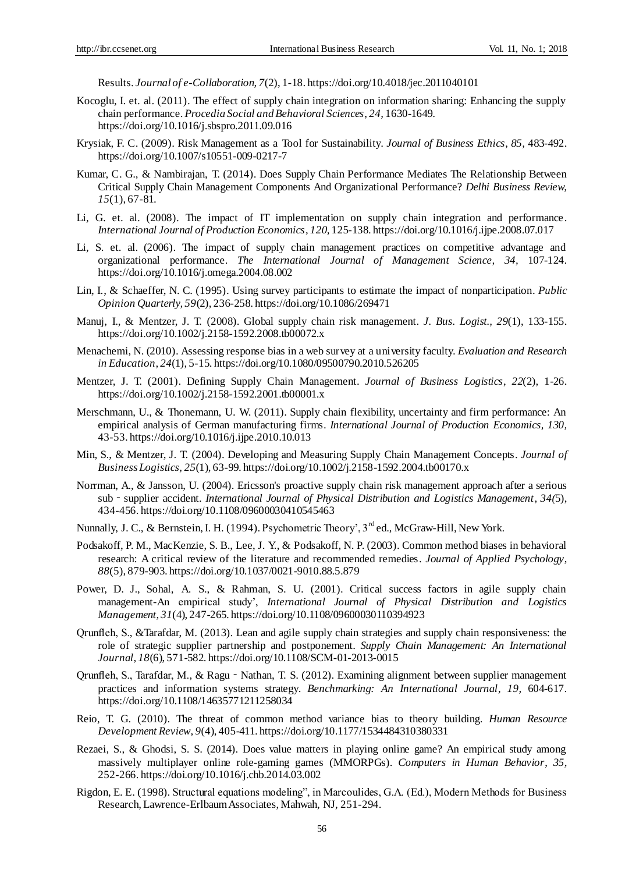Results. *Journal of e-Collaboration, 7*(2), 1-18. https://doi.org/10.4018/jec.2011040101

- Kocoglu, I. et. al. (2011). The effect of supply chain integration on information sharing: Enhancing the supply chain performance. *Procedia Social and Behavioral Sciences*, *24,* 1630-1649. https://doi.org/10.1016/j.sbspro.2011.09.016
- Krysiak, F. C. (2009). Risk Management as a Tool for Sustainability. *Journal of Business Ethics*, *85,* 483-492. https://doi.org/10.1007/s10551-009-0217-7
- Kumar, C. G., & Nambirajan, T. (2014). Does Supply Chain Performance Mediates The Relationship Between Critical Supply Chain Management Components And Organizational Performance? *Delhi Business Review, 15*(1), 67-81.
- Li, G. et. al. (2008). The impact of IT implementation on supply chain integration and performance. *International Journal of Production Economics*, *120,* 125-138. https://doi.org/10.1016/j.ijpe.2008.07.017
- Li, S. et. al. (2006). The impact of supply chain management practices on competitive advantage and organizational performance. *The International Journal of Management Science, 34,* 107-124. https://doi.org/10.1016/j.omega.2004.08.002
- Lin, I., & Schaeffer, N. C. (1995). Using survey participants to estimate the impact of nonparticipation. *Public Opinion Quarterly, 59*(2), 236-258. https://doi.org/10.1086/269471
- Manuj, I., & Mentzer, J. T. (2008). Global supply chain risk management. *J. Bus. Logist., 29*(1), 133-155. https://doi.org/10.1002/j.2158-1592.2008.tb00072.x
- Menachemi, N. (2010). Assessing response bias in a web survey at a university faculty. *Evaluation and Research in Education*, *24*(1), 5-15. https://doi.org/10.1080/09500790.2010.526205
- Mentzer, J. T. (2001). Defining Supply Chain Management. *Journal of Business Logistics*, *22*(2), 1-26. https://doi.org/10.1002/j.2158-1592.2001.tb00001.x
- Merschmann, U., & Thonemann, U. W. (2011). Supply chain flexibility, uncertainty and firm performance: An empirical analysis of German manufacturing firms. *International Journal of Production Economics, 130,* 43-53. https://doi.org/10.1016/j.ijpe.2010.10.013
- Min, S., & Mentzer, J. T. (2004). Developing and Measuring Supply Chain Management Concepts. *Journal of Business Logistics, 25*(1), 63-99. https://doi.org/10.1002/j.2158-1592.2004.tb00170.x
- Norrman, A., & Jansson, U. (2004). Ericsson's proactive supply chain risk management approach after a serious sub‐supplier accident. *International Journal of Physical Distribution and Logistics Management*, *34(*5), 434-456. https://doi.org/10.1108/09600030410545463
- Nunnally, J. C., & Bernstein, I. H. (1994). Psychometric Theory', 3rd ed., McGraw-Hill, New York.
- Podsakoff, P. M., MacKenzie, S. B., Lee, J. Y., & Podsakoff, N. P. (2003). Common method biases in behavioral research: A critical review of the literature and recommended remedies. *Journal of Applied Psychology*, *88*(5), 879-903. https://doi.org/10.1037/0021-9010.88.5.879
- Power, D. J., Sohal, A. S., & Rahman, S. U. (2001). Critical success factors in agile supply chain management-An empirical study', *International Journal of Physical Distribution and Logistics Management*, *31*(4), 247-265. https://doi.org/10.1108/09600030110394923
- Qrunfleh, S., &Tarafdar, M. (2013). Lean and agile supply chain strategies and supply chain responsiveness: the role of strategic supplier partnership and postponement. *Supply Chain Management: An International Journal*, *18*(6), 571-582. https://doi.org/10.1108/SCM-01-2013-0015
- Qrunfleh, S., Tarafdar, M., & Ragu‐[Nathan,](http://www.emeraldinsight.com.login.library.ucs.ac.uk/author/Ragu-Nathan%2C+TS) T. S. (2012). Examining alignment between supplier management practices and information systems strategy. *Benchmarking: An International Journal*, *19,* 604-617. https://doi.org/10.1108/14635771211258034
- Reio, T. G. (2010). The threat of common method variance bias to theory building. *Human Resource Development Review*, *9*(4), 405-411. https://doi.org/10.1177/1534484310380331
- Rezaei, S., & Ghodsi, S. S. (2014). Does value matters in playing online game? An empirical study among massively multiplayer online role-gaming games (MMORPGs). *Computers in Human Behavior*, *35,*  252-266. https://doi.org/10.1016/j.chb.2014.03.002
- Rigdon, E. E. (1998). Structural equations modeling", in Marcoulides, G.A. (Ed.), Modern Methods for Business Research, Lawrence-Erlbaum Associates, Mahwah, NJ, 251-294.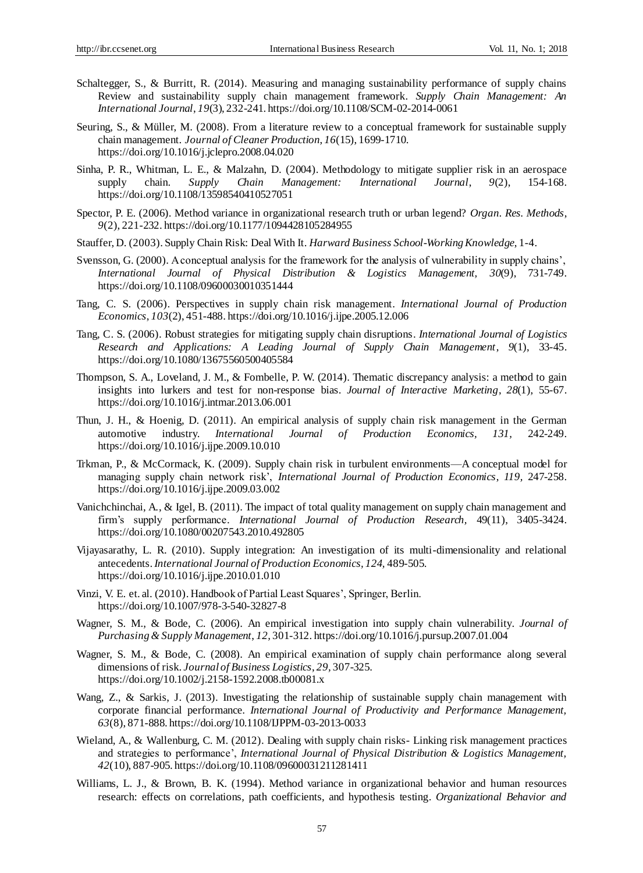- Schaltegger, S., & Burritt, R. (2014). Measuring and managing sustainability performance of supply chains Review and sustainability supply chain management framework. *Supply Chain Management: An International Journal*, *19*(3), 232-241. https://doi.org/10.1108/SCM-02-2014-0061
- Seuring, S., & Müller, M. (2008). From a literature review to a conceptual framework for sustainable supply chain management. *Journal of Cleaner Production*, *16*(15), 1699-1710. https://doi.org/10.1016/j.jclepro.2008.04.020
- Sinha, P. R., Whitman, L. E., & Malzahn, D. (2004). Methodology to mitigate supplier risk in an aerospace supply chain. *Supply Chain Management: International Journal*, *9*(2), 154-168. https://doi.org/10.1108/13598540410527051
- Spector, P. E. (2006). Method variance in organizational research truth or urban legend? *Organ. Res. Methods*, *9*(2), 221-232. https://doi.org/10.1177/1094428105284955
- Stauffer, D. (2003). Supply Chain Risk: Deal With It. *Harward Business School-Working Knowledge*, 1-4.
- Svensson, G. (2000). A conceptual analysis for the framework for the analysis of vulnerability in supply chains', *International Journal of Physical Distribution & Logistics Management, 30*(9), 731-749. https://doi.org/10.1108/09600030010351444
- Tang, C. S. (2006). Perspectives in supply chain risk management. *International Journal of Production Economics*, *103*(2), 451-488. https://doi.org/10.1016/j.ijpe.2005.12.006
- Tang, C. S. (2006). Robust strategies for mitigating supply chain disruptions. *International Journal of Logistics Research and Applications: A Leading Journal of Supply Chain Management*, *9*(1), 33-45. https://doi.org/10.1080/13675560500405584
- Thompson, S. A., Loveland, J. M., & Fombelle, P. W. (2014). Thematic discrepancy analysis: a method to gain insights into lurkers and test for non-response bias. *Journal of Interactive Marketing*, *28*(1), 55-67. https://doi.org/10.1016/j.intmar.2013.06.001
- Thun, J. H., & Hoenig, D. (2011). An empirical analysis of supply chain risk management in the German automotive industry. *International Journal of Production Economics, 131,* 242-249. https://doi.org/10.1016/j.ijpe.2009.10.010
- Trkman, P., & McCormack, K. (2009). Supply chain risk in turbulent environments—A conceptual model for managing supply chain network risk', *International Journal of Production Economics*, *119,* 247-258. https://doi.org/10.1016/j.ijpe.2009.03.002
- Vanichchinchai, A., & Igel, B. (2011). The impact of total quality management on supply chain management and firm's supply performance. *International Journal of Production Research,* 49(11), 3405-3424. https://doi.org/10.1080/00207543.2010.492805
- Vijayasarathy, L. R. (2010). Supply integration: An investigation of its multi-dimensionality and relational antecedents. *International Journal of Production Economics, 124,* 489-505. https://doi.org/10.1016/j.ijpe.2010.01.010
- Vinzi, V. E. et. al. (2010). Handbook of Partial Least Squares', Springer, Berlin. https://doi.org/10.1007/978-3-540-32827-8
- Wagner, S. M., & Bode, C. (2006). An empirical investigation into supply chain vulnerability. *Journal of Purchasing & Supply Management*, *12,* 301-312. https://doi.org/10.1016/j.pursup.2007.01.004
- Wagner, S. M., & Bode, C. (2008). An empirical examination of supply chain performance along several dimensions of risk. *Journal of Business Logistics*, *29,* 307-325. https://doi.org/10.1002/j.2158-1592.2008.tb00081.x
- Wang, Z., & Sarkis, J. (2013). Investigating the relationship of sustainable supply chain management with corporate financial performance*. International Journal of Productivity and Performance Management, 63*(8), 871-888. https://doi.org/10.1108/IJPPM-03-2013-0033
- Wieland, A., & Wallenburg, C. M. (2012). Dealing with supply chain risks- Linking risk management practices and strategies to performance', *International Journal of Physical Distribution & Logistics Management, 42*(10), 887-905. https://doi.org/10.1108/09600031211281411
- Williams, L. J., & Brown, B. K. (1994). Method variance in organizational behavior and human resources research: effects on correlations, path coefficients, and hypothesis testing. *Organizational Behavior and*